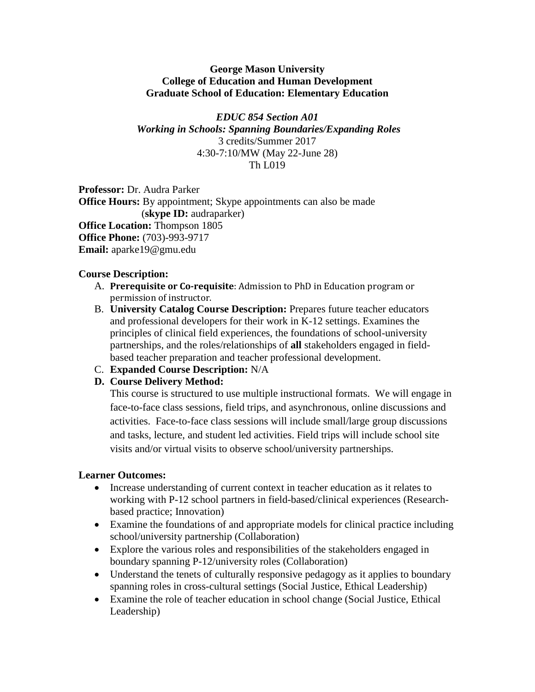#### **George Mason University College of Education and Human Development Graduate School of Education: Elementary Education**

#### *EDUC 854 Section A01 Working in Schools: Spanning Boundaries/Expanding Roles* 3 credits/Summer 2017 4:30-7:10/MW (May 22-June 28) Th L019

**Professor:** Dr. Audra Parker **Office Hours:** By appointment; Skype appointments can also be made (**skype ID:** audraparker) **Office Location:** Thompson 1805 **Office Phone:** (703)-993-9717 **Email:** aparke19@gmu.edu

## **Course Description:**

- A. **Prerequisite or Co-requisite**: Admission to PhD in Education program or permission of instructor.
- B. **University Catalog Course Description:** Prepares future teacher educators and professional developers for their work in K-12 settings. Examines the principles of clinical field experiences, the foundations of school-university partnerships, and the roles/relationships of **all** stakeholders engaged in fieldbased teacher preparation and teacher professional development.
- C. **Expanded Course Description:** N/A

## **D. Course Delivery Method:**

This course is structured to use multiple instructional formats. We will engage in face-to-face class sessions, field trips, and asynchronous, online discussions and activities. Face-to-face class sessions will include small/large group discussions and tasks, lecture, and student led activities. Field trips will include school site visits and/or virtual visits to observe school/university partnerships.

## **Learner Outcomes:**

- Increase understanding of current context in teacher education as it relates to working with P-12 school partners in field-based/clinical experiences (Researchbased practice; Innovation)
- Examine the foundations of and appropriate models for clinical practice including school/university partnership (Collaboration)
- Explore the various roles and responsibilities of the stakeholders engaged in boundary spanning P-12/university roles (Collaboration)
- Understand the tenets of culturally responsive pedagogy as it applies to boundary spanning roles in cross-cultural settings (Social Justice, Ethical Leadership)
- Examine the role of teacher education in school change (Social Justice, Ethical Leadership)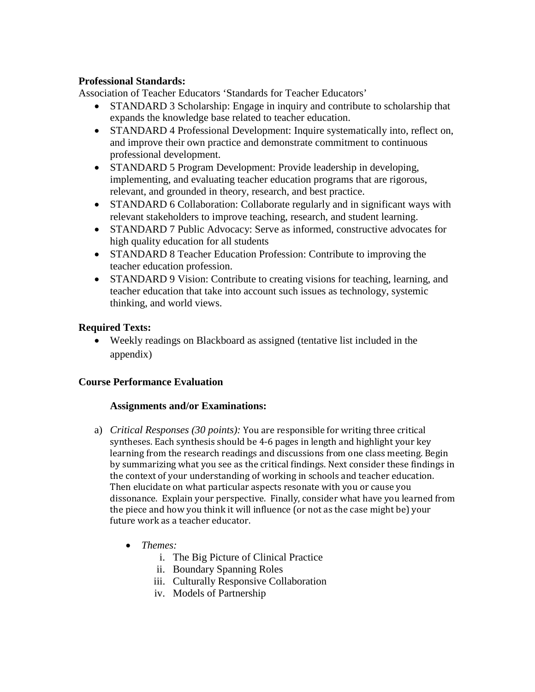#### **Professional Standards:**

Association of Teacher Educators 'Standards for Teacher Educators'

- STANDARD 3 Scholarship: Engage in inquiry and contribute to scholarship that expands the knowledge base related to teacher education.
- STANDARD 4 Professional Development: Inquire systematically into, reflect on, and improve their own practice and demonstrate commitment to continuous professional development.
- STANDARD 5 Program Development: Provide leadership in developing, implementing, and evaluating teacher education programs that are rigorous, relevant, and grounded in theory, research, and best practice.
- STANDARD 6 Collaboration: Collaborate regularly and in significant ways with relevant stakeholders to improve teaching, research, and student learning.
- STANDARD 7 Public Advocacy: Serve as informed, constructive advocates for high quality education for all students
- STANDARD 8 Teacher Education Profession: Contribute to improving the teacher education profession.
- STANDARD 9 Vision: Contribute to creating visions for teaching, learning, and teacher education that take into account such issues as technology, systemic thinking, and world views.

## **Required Texts:**

• Weekly readings on Blackboard as assigned (tentative list included in the appendix)

## **Course Performance Evaluation**

#### **Assignments and/or Examinations:**

- a) *Critical Responses (30 points):* You are responsible for writing three critical syntheses. Each synthesis should be 4-6 pages in length and highlight your key learning from the research readings and discussions from one class meeting. Begin by summarizing what you see as the critical findings. Next consider these findings in the context of your understanding of working in schools and teacher education. Then elucidate on what particular aspects resonate with you or cause you dissonance. Explain your perspective. Finally, consider what have you learned from the piece and how you think it will influence (or not as the case might be) your future work as a teacher educator.
	- *Themes:*
		- i. The Big Picture of Clinical Practice
		- ii. Boundary Spanning Roles
		- iii. Culturally Responsive Collaboration
		- iv. Models of Partnership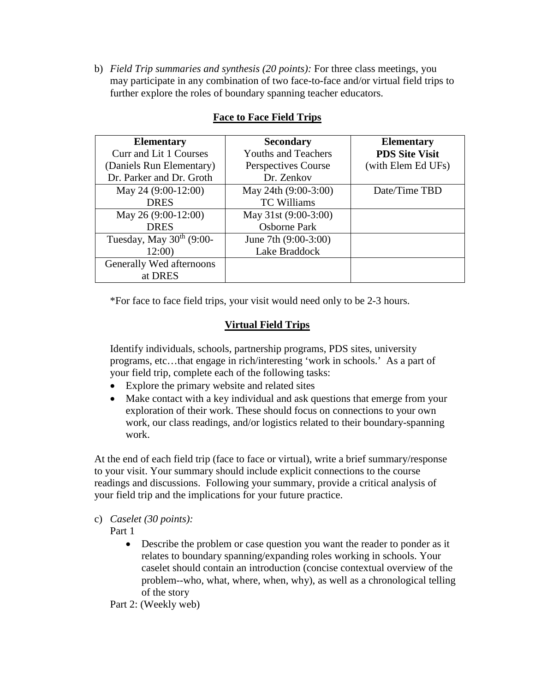b) *Field Trip summaries and synthesis (20 points):* For three class meetings, you may participate in any combination of two face-to-face and/or virtual field trips to further explore the roles of boundary spanning teacher educators.

| <b>Elementary</b>          | <b>Secondary</b>           | <b>Elementary</b>     |
|----------------------------|----------------------------|-----------------------|
| Curr and Lit 1 Courses     | <b>Youths and Teachers</b> | <b>PDS Site Visit</b> |
| (Daniels Run Elementary)   | Perspectives Course        | (with Elem Ed UFs)    |
| Dr. Parker and Dr. Groth   | Dr. Zenkov                 |                       |
| May 24 (9:00-12:00)        | May 24th (9:00-3:00)       | Date/Time TBD         |
| <b>DRES</b>                | <b>TC Williams</b>         |                       |
| May 26 (9:00-12:00)        | May 31st (9:00-3:00)       |                       |
| <b>DRES</b>                | <b>Osborne Park</b>        |                       |
| Tuesday, May $30th$ (9:00- | June 7th (9:00-3:00)       |                       |
| 12:00)                     | Lake Braddock              |                       |
| Generally Wed afternoons   |                            |                       |
| at DRES                    |                            |                       |

# **Face to Face Field Trips**

\*For face to face field trips, your visit would need only to be 2-3 hours.

# **Virtual Field Trips**

Identify individuals, schools, partnership programs, PDS sites, university programs, etc…that engage in rich/interesting 'work in schools.' As a part of your field trip, complete each of the following tasks:

- Explore the primary website and related sites
- Make contact with a key individual and ask questions that emerge from your exploration of their work. These should focus on connections to your own work, our class readings, and/or logistics related to their boundary-spanning work.

At the end of each field trip (face to face or virtual), write a brief summary/response to your visit. Your summary should include explicit connections to the course readings and discussions. Following your summary, provide a critical analysis of your field trip and the implications for your future practice.

c) *Caselet (30 points):* 

Part 1

• Describe the problem or case question you want the reader to ponder as it relates to boundary spanning/expanding roles working in schools. Your caselet should contain an introduction (concise contextual overview of the problem--who, what, where, when, why), as well as a chronological telling of the story

Part 2: (Weekly web)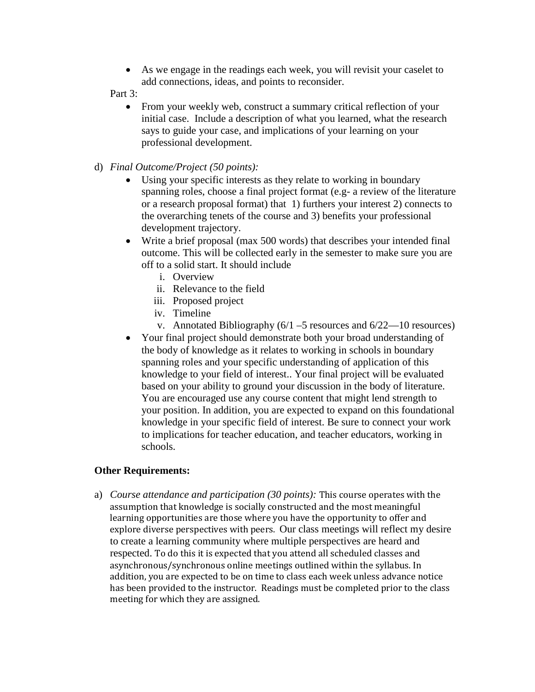• As we engage in the readings each week, you will revisit your caselet to add connections, ideas, and points to reconsider.

#### Part 3:

- From your weekly web, construct a summary critical reflection of your initial case. Include a description of what you learned, what the research says to guide your case, and implications of your learning on your professional development.
- d) *Final Outcome/Project (50 points):*
	- Using your specific interests as they relate to working in boundary spanning roles, choose a final project format (e.g- a review of the literature or a research proposal format) that 1) furthers your interest 2) connects to the overarching tenets of the course and 3) benefits your professional development trajectory.
	- Write a brief proposal (max 500 words) that describes your intended final outcome. This will be collected early in the semester to make sure you are off to a solid start. It should include
		- i. Overview
		- ii. Relevance to the field
		- iii. Proposed project
		- iv. Timeline
		- v. Annotated Bibliography  $(6/1 5$  resources and  $6/22 10$  resources)
	- Your final project should demonstrate both your broad understanding of the body of knowledge as it relates to working in schools in boundary spanning roles and your specific understanding of application of this knowledge to your field of interest.. Your final project will be evaluated based on your ability to ground your discussion in the body of literature. You are encouraged use any course content that might lend strength to your position. In addition, you are expected to expand on this foundational knowledge in your specific field of interest. Be sure to connect your work to implications for teacher education, and teacher educators, working in schools.

#### **Other Requirements:**

a) *Course attendance and participation (30 points):* This course operates with the assumption that knowledge is socially constructed and the most meaningful learning opportunities are those where you have the opportunity to offer and explore diverse perspectives with peers. Our class meetings will reflect my desire to create a learning community where multiple perspectives are heard and respected. To do this it is expected that you attend all scheduled classes and asynchronous/synchronous online meetings outlined within the syllabus. In addition, you are expected to be on time to class each week unless advance notice has been provided to the instructor. Readings must be completed prior to the class meeting for which they are assigned.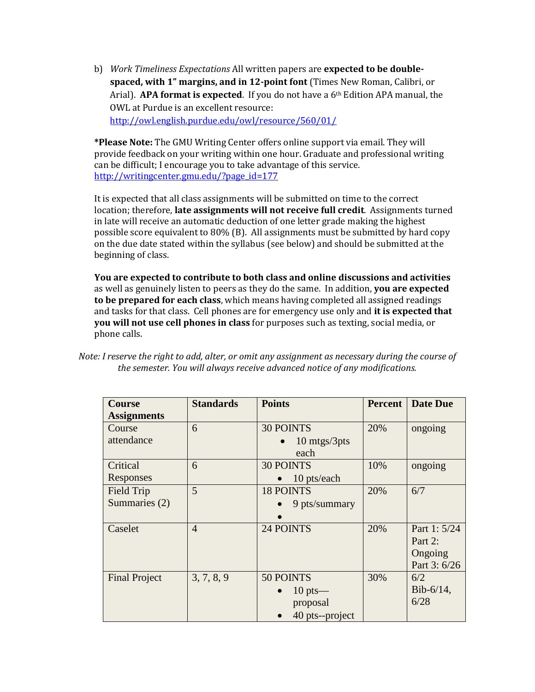b) *Work Timeliness Expectations* All written papers are **expected to be doublespaced, with 1" margins, and in 12-point font** (Times New Roman, Calibri, or Arial). **APA format is expected**. If you do not have a 6th Edition APA manual, the OWL at Purdue is an excellent resource: <http://owl.english.purdue.edu/owl/resource/560/01/>

**\*Please Note:** The GMU Writing Center offers online support via email. They will provide feedback on your writing within one hour. Graduate and professional writing can be difficult; I encourage you to take advantage of this service. [http://writingcenter.gmu.edu/?page\\_id=177](http://writingcenter.gmu.edu/?page_id=177)

It is expected that all class assignments will be submitted on time to the correct location; therefore, **late assignments will not receive full credit**. Assignments turned in late will receive an automatic deduction of one letter grade making the highest possible score equivalent to 80% (B). All assignments must be submitted by hard copy on the due date stated within the syllabus (see below) and should be submitted at the beginning of class.

**You are expected to contribute to both class and online discussions and activities** as well as genuinely listen to peers as they do the same. In addition, **you are expected to be prepared for each class**, which means having completed all assigned readings and tasks for that class. Cell phones are for emergency use only and **it is expected that you will not use cell phones in class** for purposes such as texting, social media, or phone calls.

*Note: I reserve the right to add, alter, or omit any assignment as necessary during the course of the semester. You will always receive advanced notice of any modifications.*

| <b>Course</b>        | <b>Standards</b> | <b>Points</b>      | <b>Percent</b> | <b>Date Due</b> |
|----------------------|------------------|--------------------|----------------|-----------------|
| <b>Assignments</b>   |                  |                    |                |                 |
| Course               | 6                | <b>30 POINTS</b>   | 20%            | ongoing         |
| attendance           |                  | 10 mtgs/3pts       |                |                 |
|                      |                  | each               |                |                 |
| Critical             | 6                | <b>30 POINTS</b>   | 10%            | ongoing         |
| Responses            |                  | 10 pts/each        |                |                 |
| Field Trip           | 5                | <b>18 POINTS</b>   | 20%            | 6/7             |
| Summaries (2)        |                  | 9 pts/summary      |                |                 |
|                      |                  |                    |                |                 |
| Caselet              | $\overline{4}$   | 24 POINTS          | 20%            | Part 1: 5/24    |
|                      |                  |                    |                | Part 2:         |
|                      |                  |                    |                | Ongoing         |
|                      |                  |                    |                | Part 3: 6/26    |
| <b>Final Project</b> | 3, 7, 8, 9       | 50 POINTS          | 30%            | 6/2             |
|                      |                  | $10 \text{ pts}$ — |                | $Bib-6/14$ ,    |
|                      |                  | proposal           |                | 6/28            |
|                      |                  | 40 pts--project    |                |                 |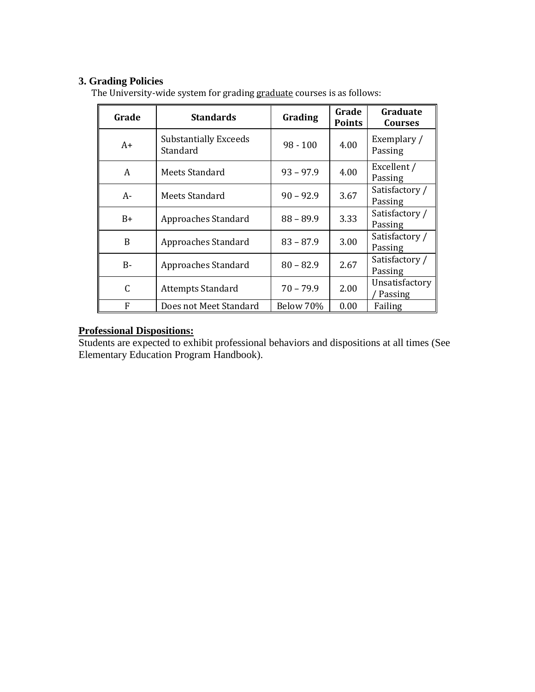## **3. Grading Policies**

| Grade        | <b>Standards</b>                         | Grading     | Grade<br><b>Points</b> | Graduate<br><b>Courses</b> |
|--------------|------------------------------------------|-------------|------------------------|----------------------------|
| $A+$         | <b>Substantially Exceeds</b><br>Standard | $98 - 100$  | 4.00                   | Exemplary /<br>Passing     |
| A            | Meets Standard                           | $93 - 97.9$ | 4.00                   | Excellent /<br>Passing     |
| $A-$         | Meets Standard                           | $90 - 92.9$ | 3.67                   | Satisfactory /<br>Passing  |
| $B+$         | Approaches Standard                      | $88 - 89.9$ | 3.33                   | Satisfactory /<br>Passing  |
| <sub>B</sub> | Approaches Standard                      | $83 - 87.9$ | 3.00                   | Satisfactory /<br>Passing  |
| $B -$        | Approaches Standard                      | $80 - 82.9$ | 2.67                   | Satisfactory /<br>Passing  |
| C            | <b>Attempts Standard</b>                 | $70 - 79.9$ | 2.00                   | Unsatisfactory<br>Passing  |
| F            | Does not Meet Standard                   | Below 70%   | 0.00                   | Failing                    |

The University-wide system for grading graduate courses is as follows:

#### **Professional Dispositions:**

Students are expected to exhibit professional behaviors and dispositions at all times (See Elementary Education Program Handbook).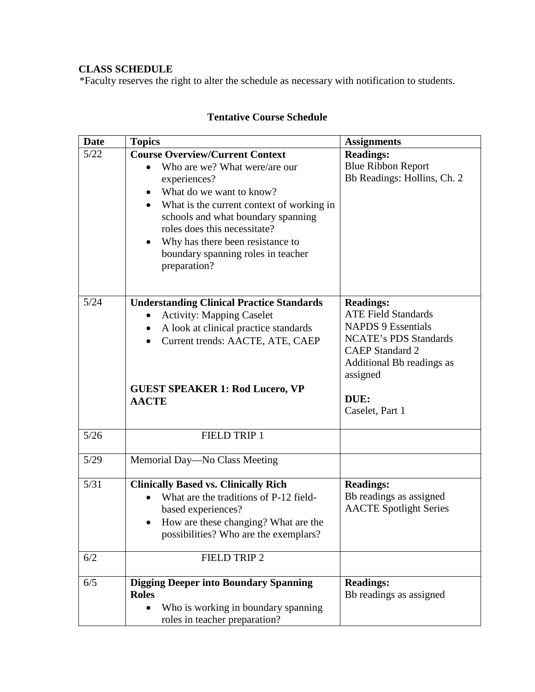# **CLASS SCHEDULE**

\*Faculty reserves the right to alter the schedule as necessary with notification to students.

| <b>Date</b> | <b>Topics</b>                                                                                                                                                                                                                                                                                                                                              | <b>Assignments</b>                                                                                                                                                                                        |
|-------------|------------------------------------------------------------------------------------------------------------------------------------------------------------------------------------------------------------------------------------------------------------------------------------------------------------------------------------------------------------|-----------------------------------------------------------------------------------------------------------------------------------------------------------------------------------------------------------|
| 5/22        | <b>Course Overview/Current Context</b><br>Who are we? What were/are our<br>$\bullet$<br>experiences?<br>What do we want to know?<br>$\bullet$<br>What is the current context of working in<br>schools and what boundary spanning<br>roles does this necessitate?<br>Why has there been resistance to<br>boundary spanning roles in teacher<br>preparation? | <b>Readings:</b><br><b>Blue Ribbon Report</b><br>Bb Readings: Hollins, Ch. 2                                                                                                                              |
| 5/24        | <b>Understanding Clinical Practice Standards</b><br><b>Activity: Mapping Caselet</b><br>A look at clinical practice standards<br>Current trends: AACTE, ATE, CAEP<br><b>GUEST SPEAKER 1: Rod Lucero, VP</b><br><b>AACTE</b>                                                                                                                                | <b>Readings:</b><br><b>ATE Field Standards</b><br><b>NAPDS 9 Essentials</b><br><b>NCATE's PDS Standards</b><br><b>CAEP</b> Standard 2<br>Additional Bb readings as<br>assigned<br>DUE:<br>Caselet, Part 1 |
| $5/26$      | FIELD TRIP 1                                                                                                                                                                                                                                                                                                                                               |                                                                                                                                                                                                           |
| 5/29        | Memorial Day-No Class Meeting                                                                                                                                                                                                                                                                                                                              |                                                                                                                                                                                                           |
| 5/31        | <b>Clinically Based vs. Clinically Rich</b><br>What are the traditions of P-12 field-<br>based experiences?<br>How are these changing? What are the<br>possibilities? Who are the exemplars?                                                                                                                                                               | <b>Readings:</b><br>Bb readings as assigned<br><b>AACTE</b> Spotlight Series                                                                                                                              |
| 6/2         | FIELD TRIP 2                                                                                                                                                                                                                                                                                                                                               |                                                                                                                                                                                                           |
| 6/5         | <b>Digging Deeper into Boundary Spanning</b><br><b>Roles</b><br>Who is working in boundary spanning<br>$\bullet$<br>roles in teacher preparation?                                                                                                                                                                                                          | <b>Readings:</b><br>Bb readings as assigned                                                                                                                                                               |

# **Tentative Course Schedule**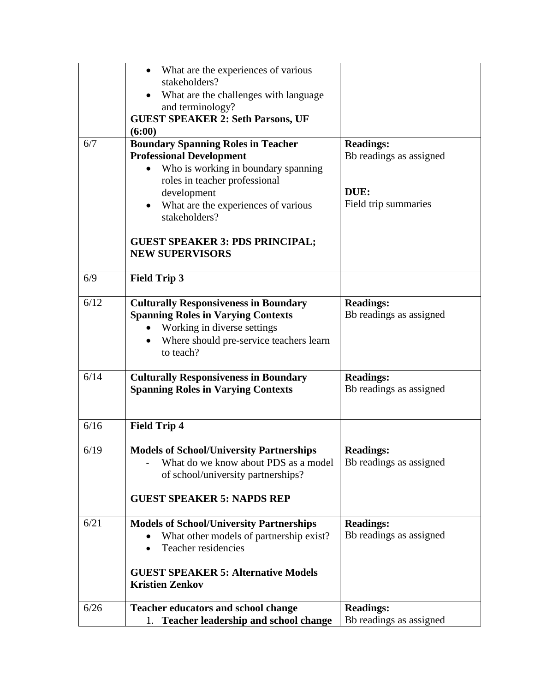|      | What are the experiences of various<br>stakeholders?                                                                                                                             |                                             |
|------|----------------------------------------------------------------------------------------------------------------------------------------------------------------------------------|---------------------------------------------|
|      | What are the challenges with language                                                                                                                                            |                                             |
|      | and terminology?<br><b>GUEST SPEAKER 2: Seth Parsons, UF</b>                                                                                                                     |                                             |
|      | (6:00)                                                                                                                                                                           |                                             |
| 6/7  | <b>Boundary Spanning Roles in Teacher</b><br><b>Professional Development</b>                                                                                                     | <b>Readings:</b><br>Bb readings as assigned |
|      | Who is working in boundary spanning<br>roles in teacher professional<br>development                                                                                              | DUE:                                        |
|      | What are the experiences of various<br>stakeholders?                                                                                                                             | Field trip summaries                        |
|      | <b>GUEST SPEAKER 3: PDS PRINCIPAL;</b><br><b>NEW SUPERVISORS</b>                                                                                                                 |                                             |
| 6/9  | <b>Field Trip 3</b>                                                                                                                                                              |                                             |
| 6/12 | <b>Culturally Responsiveness in Boundary</b><br><b>Spanning Roles in Varying Contexts</b><br>Working in diverse settings<br>Where should pre-service teachers learn<br>to teach? | <b>Readings:</b><br>Bb readings as assigned |
| 6/14 | <b>Culturally Responsiveness in Boundary</b><br><b>Spanning Roles in Varying Contexts</b>                                                                                        | <b>Readings:</b><br>Bb readings as assigned |
| 6/16 | <b>Field Trip 4</b>                                                                                                                                                              |                                             |
| 6/19 | <b>Models of School/University Partnerships</b><br>What do we know about PDS as a model<br>of school/university partnerships?                                                    | <b>Readings:</b><br>Bb readings as assigned |
|      | <b>GUEST SPEAKER 5: NAPDS REP</b>                                                                                                                                                |                                             |
| 6/21 | <b>Models of School/University Partnerships</b><br>What other models of partnership exist?<br>Teacher residencies                                                                | <b>Readings:</b><br>Bb readings as assigned |
|      | <b>GUEST SPEAKER 5: Alternative Models</b><br><b>Kristien Zenkov</b>                                                                                                             |                                             |
| 6/26 | <b>Teacher educators and school change</b>                                                                                                                                       | <b>Readings:</b>                            |
|      | <b>Teacher leadership and school change</b><br>1.                                                                                                                                | Bb readings as assigned                     |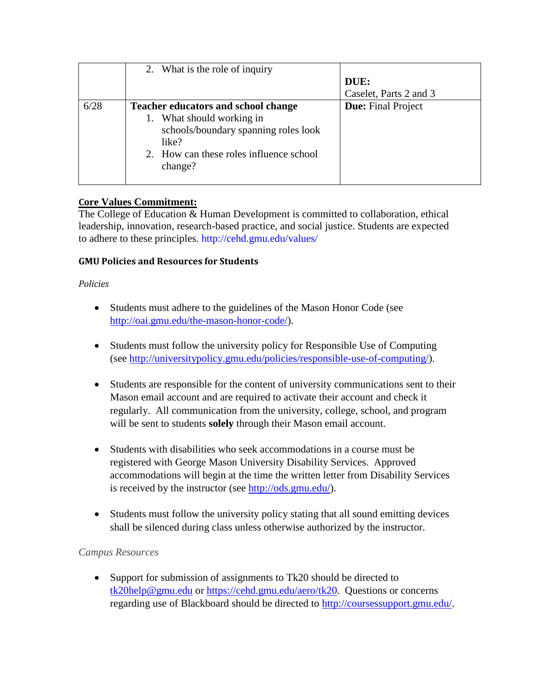|      | 2. What is the role of inquiry             |                           |
|------|--------------------------------------------|---------------------------|
|      |                                            | DUE:                      |
|      |                                            | Caselet, Parts 2 and 3    |
| 6/28 | <b>Teacher educators and school change</b> | <b>Due:</b> Final Project |
|      | 1. What should working in                  |                           |
|      | schools/boundary spanning roles look       |                           |
|      | like?                                      |                           |
|      | 2. How can these roles influence school    |                           |
|      | change?                                    |                           |
|      |                                            |                           |

# **Core Values Commitment:**

The College of Education & Human Development is committed to collaboration, ethical leadership, innovation, research-based practice, and social justice. Students are expected to adhere to these principles.<http://cehd.gmu.edu/values/>

## **GMU Policies and Resources for Students**

#### *Policies*

- Students must adhere to the guidelines of the Mason Honor Code (see [http://oai.gmu.edu/the-mason-honor-code/\)](http://oai.gmu.edu/the-mason-honor-code/).
- Students must follow the university policy for Responsible Use of Computing (see [http://universitypolicy.gmu.edu/policies/responsible-use-of-computing/\)](http://universitypolicy.gmu.edu/policies/responsible-use-of-computing/).
- Students are responsible for the content of university communications sent to their Mason email account and are required to activate their account and check it regularly. All communication from the university, college, school, and program will be sent to students **solely** through their Mason email account.
- Students with disabilities who seek accommodations in a course must be registered with George Mason University Disability Services. Approved accommodations will begin at the time the written letter from Disability Services is received by the instructor (see [http://ods.gmu.edu/\)](http://ods.gmu.edu/).
- Students must follow the university policy stating that all sound emitting devices shall be silenced during class unless otherwise authorized by the instructor.

## *Campus Resources*

• Support for submission of assignments to Tk20 should be directed to [tk20help@gmu.edu](mailto:tk20help@gmu.edu) or [https://cehd.gmu.edu/aero/tk20.](https://cehd.gmu.edu/aero/tk20) Questions or concerns regarding use of Blackboard should be directed to [http://coursessupport.gmu.edu/.](http://coursessupport.gmu.edu/)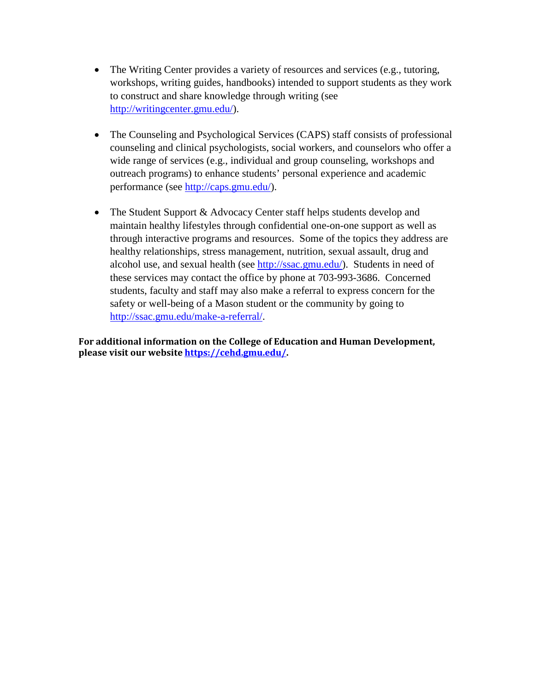- The Writing Center provides a variety of resources and services (e.g., tutoring, workshops, writing guides, handbooks) intended to support students as they work to construct and share knowledge through writing (see [http://writingcenter.gmu.edu/\)](http://writingcenter.gmu.edu/).
- The Counseling and Psychological Services (CAPS) staff consists of professional counseling and clinical psychologists, social workers, and counselors who offer a wide range of services (e.g., individual and group counseling, workshops and outreach programs) to enhance students' personal experience and academic performance (see [http://caps.gmu.edu/\)](http://caps.gmu.edu/).
- The Student Support & Advocacy Center staff helps students develop and maintain healthy lifestyles through confidential one-on-one support as well as through interactive programs and resources. Some of the topics they address are healthy relationships, stress management, nutrition, sexual assault, drug and alcohol use, and sexual health (see [http://ssac.gmu.edu/\)](http://ssac.gmu.edu/). Students in need of these services may contact the office by phone at 703-993-3686. Concerned students, faculty and staff may also make a referral to express concern for the safety or well-being of a Mason student or the community by going to [http://ssac.gmu.edu/make-a-referral/.](http://ssac.gmu.edu/make-a-referral/)

**For additional information on the College of Education and Human Development, please visit our websit[e https://cehd.gmu.edu/.](https://cehd.gmu.edu/)**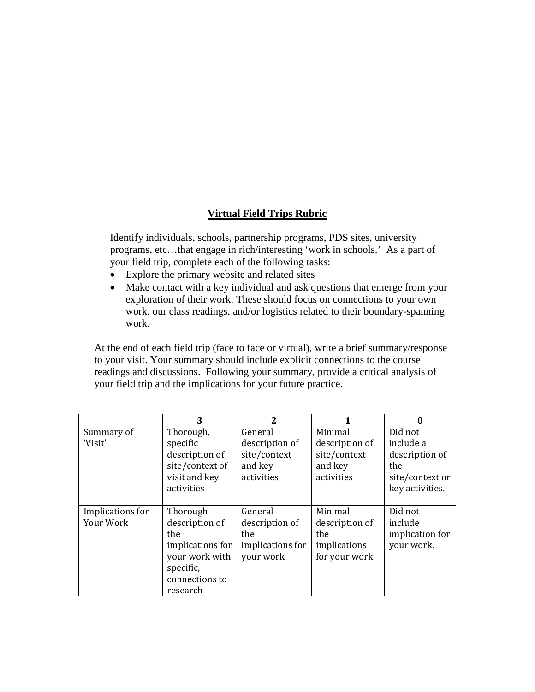# **Virtual Field Trips Rubric**

Identify individuals, schools, partnership programs, PDS sites, university programs, etc…that engage in rich/interesting 'work in schools.' As a part of your field trip, complete each of the following tasks:

- Explore the primary website and related sites
- Make contact with a key individual and ask questions that emerge from your exploration of their work. These should focus on connections to your own work, our class readings, and/or logistics related to their boundary-spanning work.

At the end of each field trip (face to face or virtual), write a brief summary/response to your visit. Your summary should include explicit connections to the course readings and discussions. Following your summary, provide a critical analysis of your field trip and the implications for your future practice.

|                               | 3                                                                                                                  | 2                                                                  |                                                                    | 0                                                                                   |
|-------------------------------|--------------------------------------------------------------------------------------------------------------------|--------------------------------------------------------------------|--------------------------------------------------------------------|-------------------------------------------------------------------------------------|
| Summary of<br>'Visit'         | Thorough,<br>specific<br>description of<br>site/context of<br>visit and key<br>activities                          | General<br>description of<br>site/context<br>and key<br>activities | Minimal<br>description of<br>site/context<br>and key<br>activities | Did not<br>include a<br>description of<br>the<br>site/context or<br>key activities. |
| Implications for<br>Your Work | Thorough<br>description of<br>the<br>implications for<br>your work with<br>specific,<br>connections to<br>research | General<br>description of<br>the<br>implications for<br>your work  | Minimal<br>description of<br>the<br>implications<br>for your work  | Did not<br>include<br>implication for<br>your work.                                 |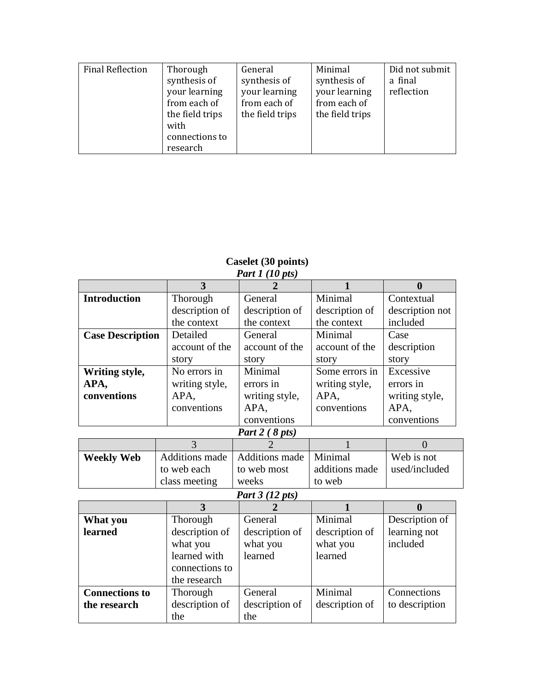| <b>Final Reflection</b> | Thorough        | General         | Minimal         | Did not submit |
|-------------------------|-----------------|-----------------|-----------------|----------------|
|                         | synthesis of    | synthesis of    | synthesis of    | a final        |
|                         | your learning   | your learning   | your learning   | reflection     |
|                         | from each of    | from each of    | from each of    |                |
|                         | the field trips | the field trips | the field trips |                |
|                         | with            |                 |                 |                |
|                         | connections to  |                 |                 |                |
|                         | research        |                 |                 |                |

#### **Caselet (30 points)** *Part 1 (10 pts)*

| $1$ with $1$ ( $10$ $101$ ) |                       |                 |                |                  |  |
|-----------------------------|-----------------------|-----------------|----------------|------------------|--|
|                             | 3                     |                 |                | $\boldsymbol{0}$ |  |
| <b>Introduction</b>         | Thorough              | General         | Minimal        | Contextual       |  |
|                             | description of        | description of  | description of | description not  |  |
|                             | the context           | the context     | the context    | included         |  |
| <b>Case Description</b>     | Detailed              | General         | Minimal        | Case             |  |
|                             | account of the        | account of the  | account of the | description      |  |
|                             | story                 | story           | story          | story            |  |
| Writing style,              | No errors in          | Minimal         | Some errors in | Excessive        |  |
| APA,                        | writing style,        | errors in       | writing style, | errors in        |  |
| conventions                 | APA.                  | writing style,  | APA.           | writing style,   |  |
|                             | conventions           | APA,            | conventions    | APA,             |  |
|                             |                       | conventions     |                | conventions      |  |
| Part 2 (8 pts)              |                       |                 |                |                  |  |
|                             | 3                     |                 |                | $\overline{0}$   |  |
| <b>Weekly Web</b>           | <b>Additions</b> made | Additions made  | Minimal        | Web is not       |  |
|                             | to web each           | to web most     | additions made | used/included    |  |
|                             | class meeting         | weeks           | to web         |                  |  |
|                             |                       | Part 3 (12 pts) |                |                  |  |
|                             | 3                     |                 |                | $\boldsymbol{0}$ |  |
| What you                    | Thorough              | General         | Minimal        | Description of   |  |
| learned                     | description of        | description of  | description of | learning not     |  |
|                             | what you              | what you        | what you       | included         |  |
|                             | learned with          | learned         | learned        |                  |  |
|                             | connections to        |                 |                |                  |  |
|                             | the research          |                 |                |                  |  |
| <b>Connections to</b>       | Thorough              | General         | Minimal        | Connections      |  |
| the research                | description of        | description of  | description of | to description   |  |
|                             | the                   | the             |                |                  |  |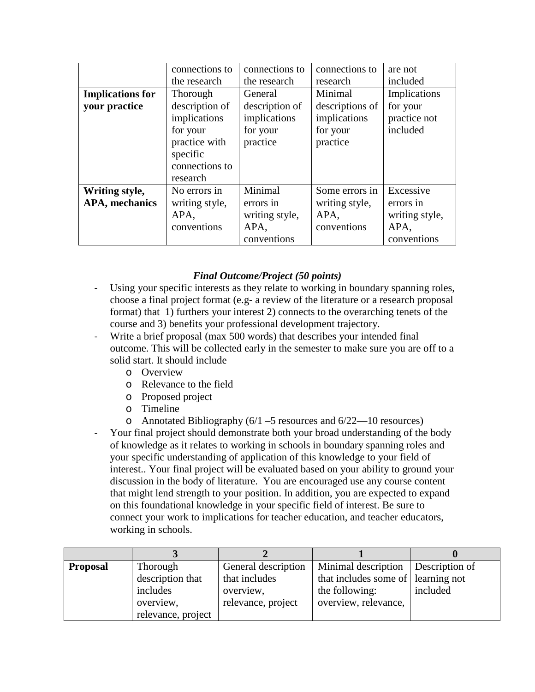|                         | connections to | connections to | connections to  | are not        |
|-------------------------|----------------|----------------|-----------------|----------------|
|                         | the research   | the research   | research        | included       |
| <b>Implications for</b> | Thorough       | General        | Minimal         | Implications   |
| your practice           | description of | description of | descriptions of | for your       |
|                         | implications   | implications   | implications    | practice not   |
|                         | for your       | for your       | for your        | included       |
|                         | practice with  | practice       | practice        |                |
|                         | specific       |                |                 |                |
|                         | connections to |                |                 |                |
|                         | research       |                |                 |                |
| Writing style,          | No errors in   | Minimal        | Some errors in  | Excessive      |
| <b>APA</b> , mechanics  | writing style, | errors in      | writing style,  | errors in      |
|                         | APA,           | writing style, | APA,            | writing style, |
|                         | conventions    | APA,           | conventions     | APA,           |
|                         |                | conventions    |                 | conventions    |

## *Final Outcome/Project (50 points)*

- Using your specific interests as they relate to working in boundary spanning roles, choose a final project format (e.g- a review of the literature or a research proposal format) that 1) furthers your interest 2) connects to the overarching tenets of the course and 3) benefits your professional development trajectory.
- Write a brief proposal (max 500 words) that describes your intended final outcome. This will be collected early in the semester to make sure you are off to a solid start. It should include
	- o Overview
	- o Relevance to the field
	- o Proposed project
	- o Timeline
	- o Annotated Bibliography (6/1 –5 resources and 6/22—10 resources)
- Your final project should demonstrate both your broad understanding of the body of knowledge as it relates to working in schools in boundary spanning roles and your specific understanding of application of this knowledge to your field of interest.. Your final project will be evaluated based on your ability to ground your discussion in the body of literature. You are encouraged use any course content that might lend strength to your position. In addition, you are expected to expand on this foundational knowledge in your specific field of interest. Be sure to connect your work to implications for teacher education, and teacher educators, working in schools.

| <b>Proposal</b> | Thorough           | General description | Minimal description                | Description of |
|-----------------|--------------------|---------------------|------------------------------------|----------------|
|                 | description that   | that includes       | that includes some of learning not |                |
|                 | includes           | overview,           | the following:                     | included       |
|                 | overview,          | relevance, project  | overview, relevance,               |                |
|                 | relevance, project |                     |                                    |                |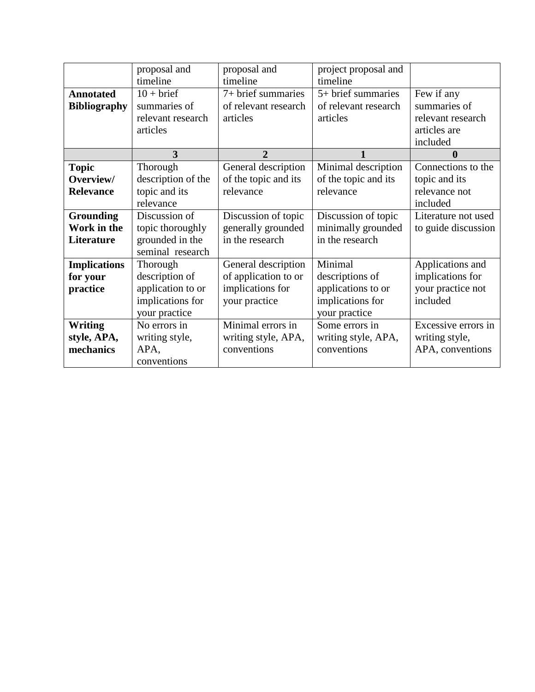|                     | proposal and       | proposal and         | project proposal and |                     |
|---------------------|--------------------|----------------------|----------------------|---------------------|
|                     | timeline           | timeline             | timeline             |                     |
| <b>Annotated</b>    | $10 + brief$       | 7+ brief summaries   | 5+ brief summaries   | Few if any          |
| <b>Bibliography</b> | summaries of       | of relevant research | of relevant research | summaries of        |
|                     | relevant research  | articles             | articles             | relevant research   |
|                     | articles           |                      |                      | articles are        |
|                     |                    |                      |                      | included            |
|                     | 3                  | $\overline{2}$       | 1                    | $\bf{0}$            |
| <b>Topic</b>        | Thorough           | General description  | Minimal description  | Connections to the  |
| Overview/           | description of the | of the topic and its | of the topic and its | topic and its       |
| <b>Relevance</b>    | topic and its      | relevance            | relevance            | relevance not       |
|                     | relevance          |                      |                      | included            |
| <b>Grounding</b>    | Discussion of      | Discussion of topic  | Discussion of topic  | Literature not used |
| Work in the         | topic thoroughly   | generally grounded   | minimally grounded   | to guide discussion |
| Literature          | grounded in the    | in the research      | in the research      |                     |
|                     | seminal research   |                      |                      |                     |
| <b>Implications</b> | Thorough           | General description  | Minimal              | Applications and    |
| for your            | description of     | of application to or | descriptions of      | implications for    |
| practice            | application to or  | implications for     | applications to or   | your practice not   |
|                     | implications for   | your practice        | implications for     | included            |
|                     | your practice      |                      | your practice        |                     |
| <b>Writing</b>      | No errors in       | Minimal errors in    | Some errors in       | Excessive errors in |
| style, APA,         | writing style,     | writing style, APA,  | writing style, APA,  | writing style,      |
| mechanics           | APA,               | conventions          | conventions          | APA, conventions    |
|                     | conventions        |                      |                      |                     |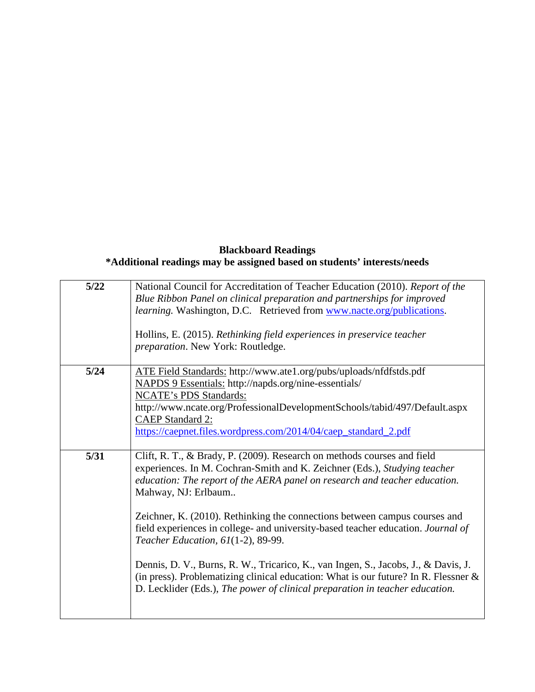## **Blackboard Readings \*Additional readings may be assigned based on students' interests/needs**

| $5/22$ | National Council for Accreditation of Teacher Education (2010). Report of the<br>Blue Ribbon Panel on clinical preparation and partnerships for improved<br>learning. Washington, D.C. Retrieved from www.nacte.org/publications.<br>Hollins, E. (2015). Rethinking field experiences in preservice teacher<br>preparation. New York: Routledge.                                                                                                                                                                                                                                                                                                                                                                                  |
|--------|-----------------------------------------------------------------------------------------------------------------------------------------------------------------------------------------------------------------------------------------------------------------------------------------------------------------------------------------------------------------------------------------------------------------------------------------------------------------------------------------------------------------------------------------------------------------------------------------------------------------------------------------------------------------------------------------------------------------------------------|
| $5/24$ | ATE Field Standards: http://www.ate1.org/pubs/uploads/nfdfstds.pdf<br>NAPDS 9 Essentials: http://napds.org/nine-essentials/<br><b>NCATE's PDS Standards:</b><br>http://www.ncate.org/ProfessionalDevelopmentSchools/tabid/497/Default.aspx<br><b>CAEP Standard 2:</b><br>https://caepnet.files.wordpress.com/2014/04/caep_standard_2.pdf                                                                                                                                                                                                                                                                                                                                                                                          |
| 5/31   | Clift, R. T., & Brady, P. (2009). Research on methods courses and field<br>experiences. In M. Cochran-Smith and K. Zeichner (Eds.), Studying teacher<br>education: The report of the AERA panel on research and teacher education.<br>Mahway, NJ: Erlbaum<br>Zeichner, K. (2010). Rethinking the connections between campus courses and<br>field experiences in college- and university-based teacher education. Journal of<br>Teacher Education, 61(1-2), 89-99.<br>Dennis, D. V., Burns, R. W., Tricarico, K., van Ingen, S., Jacobs, J., & Davis, J.<br>(in press). Problematizing clinical education: What is our future? In R. Flessner $\&$<br>D. Lecklider (Eds.), The power of clinical preparation in teacher education. |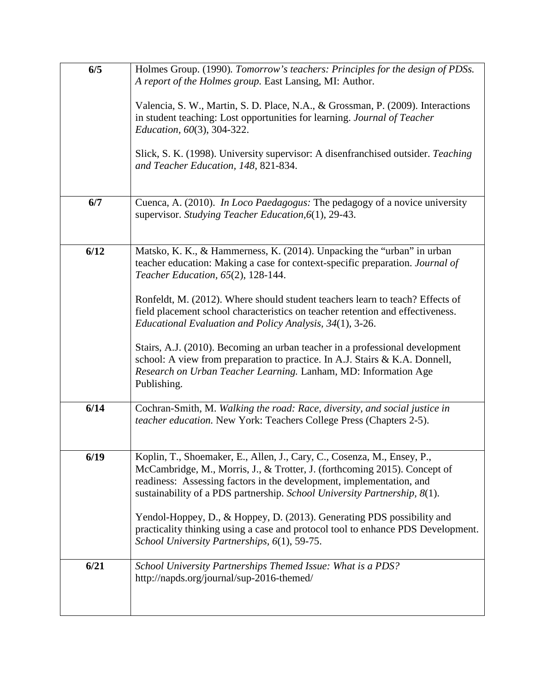| 6/5  | Holmes Group. (1990). Tomorrow's teachers: Principles for the design of PDSs.                                                                                                                                                                                                                             |
|------|-----------------------------------------------------------------------------------------------------------------------------------------------------------------------------------------------------------------------------------------------------------------------------------------------------------|
|      | A report of the Holmes group. East Lansing, MI: Author.                                                                                                                                                                                                                                                   |
|      | Valencia, S. W., Martin, S. D. Place, N.A., & Grossman, P. (2009). Interactions<br>in student teaching: Lost opportunities for learning. Journal of Teacher<br>Education, 60(3), 304-322.                                                                                                                 |
|      | Slick, S. K. (1998). University supervisor: A disenfranchised outsider. Teaching<br>and Teacher Education, 148, 821-834.                                                                                                                                                                                  |
| 6/7  | Cuenca, A. (2010). In Loco Paedagogus: The pedagogy of a novice university<br>supervisor. Studying Teacher Education, 6(1), 29-43.                                                                                                                                                                        |
| 6/12 | Matsko, K. K., & Hammerness, K. (2014). Unpacking the "urban" in urban<br>teacher education: Making a case for context-specific preparation. Journal of<br>Teacher Education, 65(2), 128-144.                                                                                                             |
|      | Ronfeldt, M. (2012). Where should student teachers learn to teach? Effects of<br>field placement school characteristics on teacher retention and effectiveness.<br>Educational Evaluation and Policy Analysis, 34(1), 3-26.                                                                               |
|      | Stairs, A.J. (2010). Becoming an urban teacher in a professional development<br>school: A view from preparation to practice. In A.J. Stairs & K.A. Donnell,<br>Research on Urban Teacher Learning. Lanham, MD: Information Age<br>Publishing.                                                             |
| 6/14 | Cochran-Smith, M. Walking the road: Race, diversity, and social justice in<br>teacher education. New York: Teachers College Press (Chapters 2-5).                                                                                                                                                         |
| 6/19 | Koplin, T., Shoemaker, E., Allen, J., Cary, C., Cosenza, M., Ensey, P.,<br>McCambridge, M., Morris, J., & Trotter, J. (forthcoming 2015). Concept of<br>readiness: Assessing factors in the development, implementation, and<br>sustainability of a PDS partnership. School University Partnership, 8(1). |
|      | Yendol-Hoppey, D., & Hoppey, D. (2013). Generating PDS possibility and<br>practicality thinking using a case and protocol tool to enhance PDS Development.<br>School University Partnerships, 6(1), 59-75.                                                                                                |
| 6/21 | School University Partnerships Themed Issue: What is a PDS?<br>http://napds.org/journal/sup-2016-themed/                                                                                                                                                                                                  |